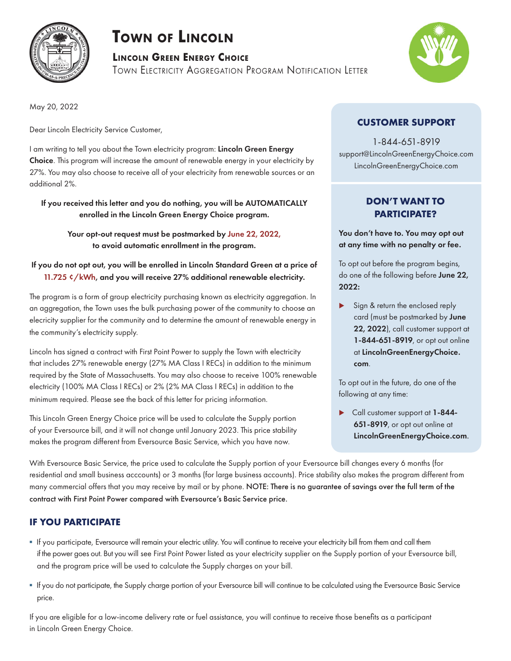

# **Town of Lincoln**

**Lincoln Green Energy Choice**

Town Electricity Aggregation Program Notification Letter



May 20, 2022

Dear Lincoln Electricity Service Customer,

I am writing to tell you about the Town electricity program: Lincoln Green Energy Choice. This program will increase the amount of renewable energy in your electricity by 27%. You may also choose to receive all of your electricity from renewable sources or an additional 2%.

If you received this letter and you do nothing, you will be AUTOMATICALLY enrolled in the Lincoln Green Energy Choice program.

Your opt-out request must be postmarked by June 22, 2022, to avoid automatic enrollment in the program.

### If you do not opt out, you will be enrolled in Lincoln Standard Green at a price of 11.725 ¢/kWh, and you will receive 27% additional renewable electricity.

The program is a form of group electricity purchasing known as electricity aggregation. In an aggregation, the Town uses the bulk purchasing power of the community to choose an elecricity supplier for the community and to determine the amount of renewable energy in the community's electricity supply.

Lincoln has signed a contract with First Point Power to supply the Town with electricity that includes 27% renewable energy (27% MA Class I RECs) in addition to the minimum required by the State of Massachusetts. You may also choose to receive 100% renewable electricity (100% MA Class I RECs) or 2% (2% MA Class I RECs) in addition to the minimum required. Please see the back of this letter for pricing information.

This Lincoln Green Energy Choice price will be used to calculate the Supply portion of your Eversource bill, and it will not change until January 2023. This price stability makes the program different from Eversource Basic Service, which you have now.

# **CUSTOMER SUPPORT**

1-844-651-8919 support@LincolnGreenEnergyChoice.com LincolnGreenEnergyChoice.com

# **DON'T WANT TO PARTICIPATE?**

You don't have to. You may opt out at any time with no penalty or fee.

To opt out before the program begins, do one of the following before June 22, 2022:

 Sign & return the enclosed reply card (must be postmarked by June 22, 2022), call customer support at 1-844-651-8919, or opt out online at LincolnGreenEnergyChoice. com.

To opt out in the future, do one of the following at any time:

Call customer support at 1-844-651-8919, or opt out online at LincolnGreenEnergyChoice.com.

With Eversource Basic Service, the price used to calculate the Supply portion of your Eversource bill changes every 6 months (for residential and small business acccounts) or 3 months (for large business accounts). Price stability also makes the program different from many commercial offers that you may receive by mail or by phone. NOTE: There is no guarantee of savings over the full term of the contract with First Point Power compared with Eversource's Basic Service price.

# **IF YOU PARTICIPATE**

- If you participate, Eversource will remain your electric utility. You will continue to receive your electricity bill from them and call them if the power goes out. But you will see First Point Power listed as your electricity supplier on the Supply portion of your Eversource bill, and the program price will be used to calculate the Supply charges on your bill.
- If you do not participate, the Supply charge portion of your Eversource bill will continue to be calculated using the Eversource Basic Service price.

If you are eligible for a low-income delivery rate or fuel assistance, you will continue to receive those benefits as a participant in Lincoln Green Energy Choice.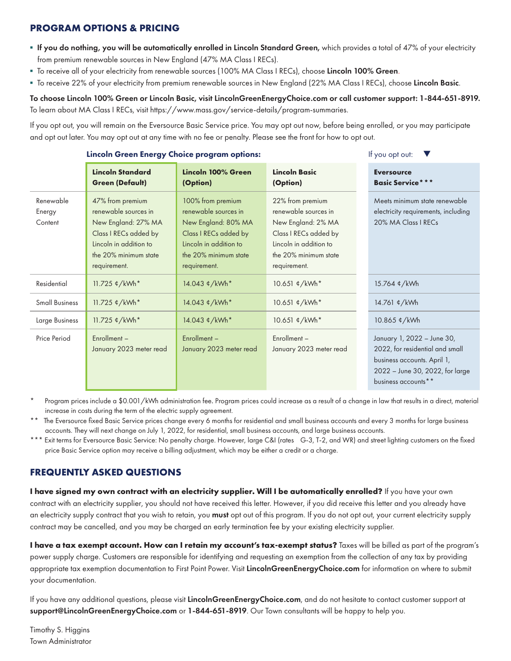## **PROGRAM OPTIONS & PRICING**

- **. If you do nothing, you will be automatically enrolled in Lincoln Standard Green,** which provides a total of 47% of your electricity from premium renewable sources in New England (47% MA Class I RECs).
- " To receive all of your electricity from renewable sources (100% MA Class I RECs), choose Lincoln 100% Green.
- " To receive 22% of your electricity from premium renewable sources in New England (22% MA Class I RECs), choose Lincoln Basic.

#### To choose Lincoln 100% Green or Lincoln Basic, visit LincolnGreenEnergyChoice.com or call customer support: 1-844-651-8919. To learn about MA Class I RECs, visit https://www.mass.gov/service-details/program-summaries.

If you opt out, you will remain on the Eversource Basic Service price. You may opt out now, before being enrolled, or you may participate and opt out later. You may opt out at any time with no fee or penalty. Please see the front for how to opt out.

|                                | Lincoln Green Energy Choice program options:                                                                                                                | If you opt out:                                                                                                                                              |                                                                                                                                                            |                                                                                                                                                        |
|--------------------------------|-------------------------------------------------------------------------------------------------------------------------------------------------------------|--------------------------------------------------------------------------------------------------------------------------------------------------------------|------------------------------------------------------------------------------------------------------------------------------------------------------------|--------------------------------------------------------------------------------------------------------------------------------------------------------|
|                                | <b>Lincoln Standard</b><br><b>Green (Default)</b>                                                                                                           | Lincoln 100% Green<br>(Option)                                                                                                                               | <b>Lincoln Basic</b><br>(Option)                                                                                                                           | <b>Eversource</b><br><b>Basic Service***</b>                                                                                                           |
| Renewable<br>Energy<br>Content | 47% from premium<br>renewable sources in<br>New England: 27% MA<br>Class I RECs added by<br>Lincoln in addition to<br>the 20% minimum state<br>requirement. | 100% from premium<br>renewable sources in<br>New England: 80% MA<br>Class I RECs added by<br>Lincoln in addition to<br>the 20% minimum state<br>requirement. | 22% from premium<br>renewable sources in<br>New England: 2% MA<br>Class I RECs added by<br>Lincoln in addition to<br>the 20% minimum state<br>requirement. | Meets minimum state renewable<br>electricity requirements, including<br>20% MA Class I RECs                                                            |
| Residential                    | 11.725 ¢/kWh*                                                                                                                                               | 14.043 ¢/kWh*                                                                                                                                                | 10.651 ¢/kWh*                                                                                                                                              | 15.764 ¢/kWh                                                                                                                                           |
| <b>Small Business</b>          | 11.725 ¢/kWh*                                                                                                                                               | 14.043 ¢/kWh*                                                                                                                                                | 10.651 ¢/kWh*                                                                                                                                              | 14.761 ¢/kWh                                                                                                                                           |
| Large Business                 | 11.725 ¢/kWh*                                                                                                                                               | 14.043 ¢/kWh*                                                                                                                                                | 10.651 ¢/kWh*                                                                                                                                              | 10.865 ¢/kWh                                                                                                                                           |
| Price Period                   | Enrollment-<br>January 2023 meter read                                                                                                                      | Enrollment-<br>January 2023 meter read                                                                                                                       | Enrollment-<br>January 2023 meter read                                                                                                                     | January 1, 2022 - June 30,<br>2022, for residential and small<br>business accounts. April 1,<br>2022 - June 30, 2022, for large<br>business accounts** |

Program prices include a \$0.001/kWh administration fee. Program prices could increase as a result of a change in law that results in a direct, material increase in costs during the term of the electric supply agreement.

\*\* The Eversource fixed Basic Service prices change every 6 months for residential and small business accounts and every 3 months for large business accounts. They will next change on July 1, 2022, for residential, small business accounts, and large business accounts.

Exit terms for Eversource Basic Service: No penalty charge. However, large C&I (rates G-3, T-2, and WR) and street lighting customers on the fixed price Basic Service option may receive a billing adjustment, which may be either a credit or a charge.

# **FREQUENTLY ASKED QUESTIONS**

**I have signed my own contract with an electricity supplier. Will I be automatically enrolled?** If you have your own contract with an electricity supplier, you should not have received this letter. However, if you did receive this letter and you already have an electricity supply contract that you wish to retain, you must opt out of this program. If you do not opt out, your current electricity supply contract may be cancelled, and you may be charged an early termination fee by your existing electricity supplier.

**I have a tax exempt account. How can I retain my account's tax-exempt status?** Taxes will be billed as part of the program's power supply charge. Customers are responsible for identifying and requesting an exemption from the collection of any tax by providing appropriate tax exemption documentation to First Point Power. Visit LincolnGreenEnergyChoice.com for information on where to submit your documentation.

If you have any additional questions, please visit LincolnGreenEnergyChoice.com, and do not hesitate to contact customer support at support@LincolnGreenEnergyChoice.com or 1-844-651-8919. Our Town consultants will be happy to help you.

Timothy S. Higgins Town Administrator